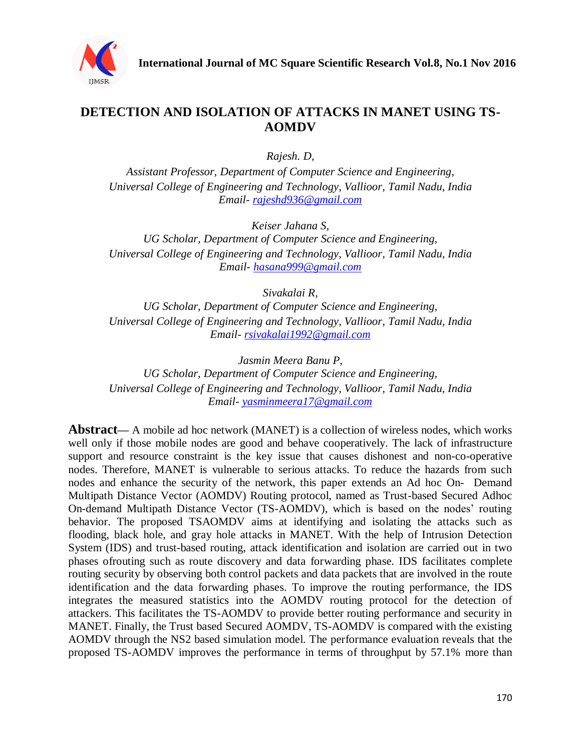

# **DETECTION AND ISOLATION OF ATTACKS IN MANET USING TS-AOMDV**

*Rajesh. D,*

*Assistant Professor, Department of Computer Science and Engineering, Universal College of Engineering and Technology, Vallioor, Tamil Nadu, India Email- [rajeshd936@gmail.com](mailto:rajeshd936@gmail.com)*

*Keiser Jahana S,*

*UG Scholar, Department of Computer Science and Engineering, Universal College of Engineering and Technology, Vallioor, Tamil Nadu, India Email- [hasana999@gmail.com](mailto:hasana999@gmail.com)*

*Sivakalai R,*

*UG Scholar, Department of Computer Science and Engineering, Universal College of Engineering and Technology, Vallioor, Tamil Nadu, India Email- [rsivakalai1992@gmail.com](mailto:rsivakalai1992@gmail.com)*

*Jasmin Meera Banu P, UG Scholar, Department of Computer Science and Engineering, Universal College of Engineering and Technology, Vallioor, Tamil Nadu, India Email- [yasminmeera17@gmail.com](mailto:yasminmeera17@gmail.com)*

**Abstract—** A mobile ad hoc network (MANET) is a collection of wireless nodes, which works well only if those mobile nodes are good and behave cooperatively. The lack of infrastructure support and resource constraint is the key issue that causes dishonest and non-co-operative nodes. Therefore, MANET is vulnerable to serious attacks. To reduce the hazards from such nodes and enhance the security of the network, this paper extends an Ad hoc On- Demand Multipath Distance Vector (AOMDV) Routing protocol, named as Trust-based Secured Adhoc On-demand Multipath Distance Vector (TS-AOMDV), which is based on the nodes' routing behavior. The proposed TSAOMDV aims at identifying and isolating the attacks such as flooding, black hole, and gray hole attacks in MANET. With the help of Intrusion Detection System (IDS) and trust-based routing, attack identification and isolation are carried out in two phases ofrouting such as route discovery and data forwarding phase. IDS facilitates complete routing security by observing both control packets and data packets that are involved in the route identification and the data forwarding phases. To improve the routing performance, the IDS integrates the measured statistics into the AOMDV routing protocol for the detection of attackers. This facilitates the TS-AOMDV to provide better routing performance and security in MANET. Finally, the Trust based Secured AOMDV, TS-AOMDV is compared with the existing AOMDV through the NS2 based simulation model. The performance evaluation reveals that the proposed TS-AOMDV improves the performance in terms of throughput by 57.1% more than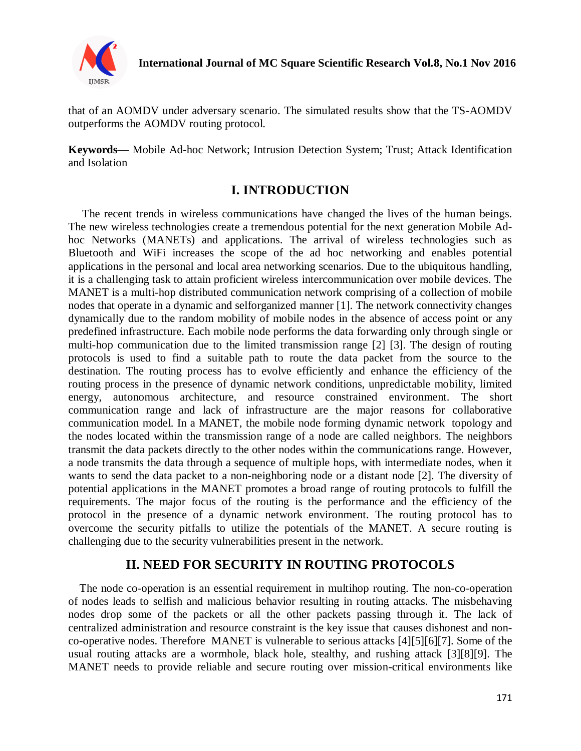

that of an AOMDV under adversary scenario. The simulated results show that the TS-AOMDV outperforms the AOMDV routing protocol.

**Keywords—** Mobile Ad-hoc Network; Intrusion Detection System; Trust; Attack Identification and Isolation

## **I. INTRODUCTION**

 The recent trends in wireless communications have changed the lives of the human beings. The new wireless technologies create a tremendous potential for the next generation Mobile Adhoc Networks (MANETs) and applications. The arrival of wireless technologies such as Bluetooth and WiFi increases the scope of the ad hoc networking and enables potential applications in the personal and local area networking scenarios. Due to the ubiquitous handling, it is a challenging task to attain proficient wireless intercommunication over mobile devices. The MANET is a multi-hop distributed communication network comprising of a collection of mobile nodes that operate in a dynamic and selforganized manner [1]. The network connectivity changes dynamically due to the random mobility of mobile nodes in the absence of access point or any predefined infrastructure. Each mobile node performs the data forwarding only through single or multi-hop communication due to the limited transmission range [2] [3]. The design of routing protocols is used to find a suitable path to route the data packet from the source to the destination. The routing process has to evolve efficiently and enhance the efficiency of the routing process in the presence of dynamic network conditions, unpredictable mobility, limited energy, autonomous architecture, and resource constrained environment. The short communication range and lack of infrastructure are the major reasons for collaborative communication model. In a MANET, the mobile node forming dynamic network topology and the nodes located within the transmission range of a node are called neighbors. The neighbors transmit the data packets directly to the other nodes within the communications range. However, a node transmits the data through a sequence of multiple hops, with intermediate nodes, when it wants to send the data packet to a non-neighboring node or a distant node [2]. The diversity of potential applications in the MANET promotes a broad range of routing protocols to fulfill the requirements. The major focus of the routing is the performance and the efficiency of the protocol in the presence of a dynamic network environment. The routing protocol has to overcome the security pitfalls to utilize the potentials of the MANET. A secure routing is challenging due to the security vulnerabilities present in the network.

## **II. NEED FOR SECURITY IN ROUTING PROTOCOLS**

 The node co-operation is an essential requirement in multihop routing. The non-co-operation of nodes leads to selfish and malicious behavior resulting in routing attacks. The misbehaving nodes drop some of the packets or all the other packets passing through it. The lack of centralized administration and resource constraint is the key issue that causes dishonest and nonco-operative nodes. Therefore MANET is vulnerable to serious attacks [4][5][6][7]. Some of the usual routing attacks are a wormhole, black hole, stealthy, and rushing attack [3][8][9]. The MANET needs to provide reliable and secure routing over mission-critical environments like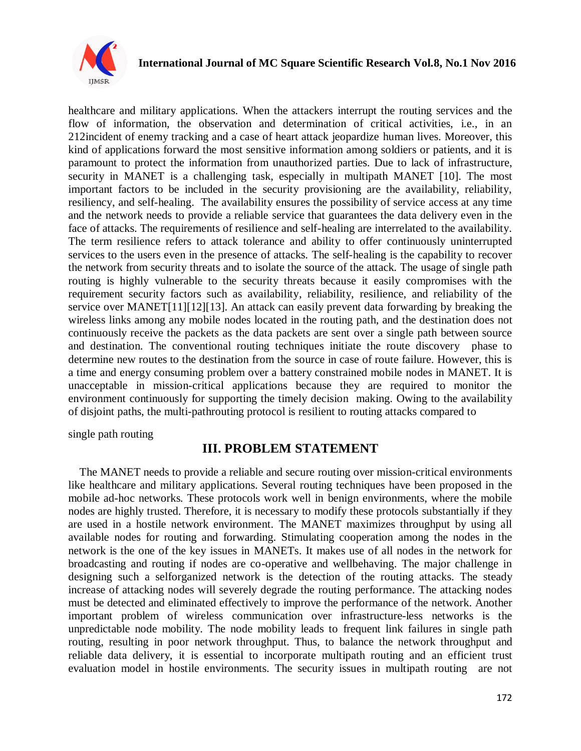

healthcare and military applications. When the attackers interrupt the routing services and the flow of information, the observation and determination of critical activities, i.e., in an 212incident of enemy tracking and a case of heart attack jeopardize human lives. Moreover, this kind of applications forward the most sensitive information among soldiers or patients, and it is paramount to protect the information from unauthorized parties. Due to lack of infrastructure, security in MANET is a challenging task, especially in multipath MANET [10]. The most important factors to be included in the security provisioning are the availability, reliability, resiliency, and self-healing. The availability ensures the possibility of service access at any time and the network needs to provide a reliable service that guarantees the data delivery even in the face of attacks. The requirements of resilience and self-healing are interrelated to the availability. The term resilience refers to attack tolerance and ability to offer continuously uninterrupted services to the users even in the presence of attacks. The self-healing is the capability to recover the network from security threats and to isolate the source of the attack. The usage of single path routing is highly vulnerable to the security threats because it easily compromises with the requirement security factors such as availability, reliability, resilience, and reliability of the service over MANET[11][12][13]. An attack can easily prevent data forwarding by breaking the wireless links among any mobile nodes located in the routing path, and the destination does not continuously receive the packets as the data packets are sent over a single path between source and destination. The conventional routing techniques initiate the route discovery phase to determine new routes to the destination from the source in case of route failure. However, this is a time and energy consuming problem over a battery constrained mobile nodes in MANET. It is unacceptable in mission-critical applications because they are required to monitor the environment continuously for supporting the timely decision making. Owing to the availability of disjoint paths, the multi-pathrouting protocol is resilient to routing attacks compared to

single path routing

## **III. PROBLEM STATEMENT**

 The MANET needs to provide a reliable and secure routing over mission-critical environments like healthcare and military applications. Several routing techniques have been proposed in the mobile ad-hoc networks. These protocols work well in benign environments, where the mobile nodes are highly trusted. Therefore, it is necessary to modify these protocols substantially if they are used in a hostile network environment. The MANET maximizes throughput by using all available nodes for routing and forwarding. Stimulating cooperation among the nodes in the network is the one of the key issues in MANETs. It makes use of all nodes in the network for broadcasting and routing if nodes are co-operative and wellbehaving. The major challenge in designing such a selforganized network is the detection of the routing attacks. The steady increase of attacking nodes will severely degrade the routing performance. The attacking nodes must be detected and eliminated effectively to improve the performance of the network. Another important problem of wireless communication over infrastructure-less networks is the unpredictable node mobility. The node mobility leads to frequent link failures in single path routing, resulting in poor network throughput. Thus, to balance the network throughput and reliable data delivery, it is essential to incorporate multipath routing and an efficient trust evaluation model in hostile environments. The security issues in multipath routing are not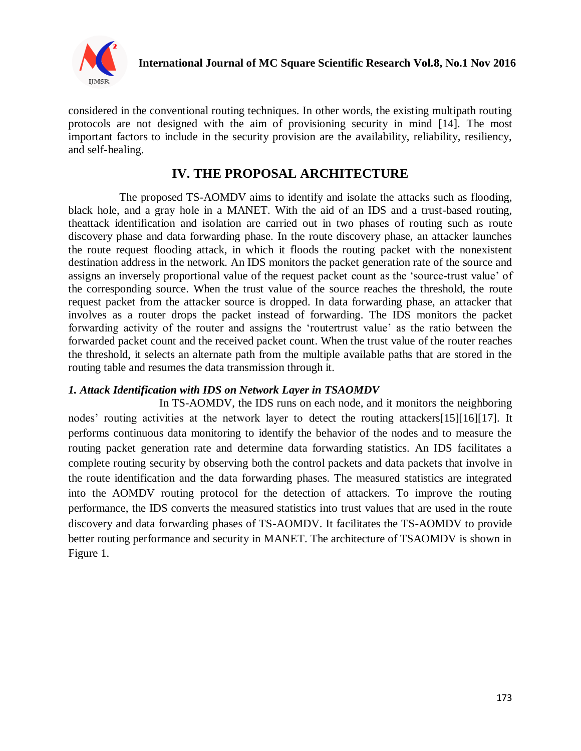

considered in the conventional routing techniques. In other words, the existing multipath routing protocols are not designed with the aim of provisioning security in mind [14]. The most important factors to include in the security provision are the availability, reliability, resiliency, and self-healing.

# **IV. THE PROPOSAL ARCHITECTURE**

 The proposed TS-AOMDV aims to identify and isolate the attacks such as flooding, black hole, and a gray hole in a MANET. With the aid of an IDS and a trust-based routing, theattack identification and isolation are carried out in two phases of routing such as route discovery phase and data forwarding phase. In the route discovery phase, an attacker launches the route request flooding attack, in which it floods the routing packet with the nonexistent destination address in the network. An IDS monitors the packet generation rate of the source and assigns an inversely proportional value of the request packet count as the 'source-trust value' of the corresponding source. When the trust value of the source reaches the threshold, the route request packet from the attacker source is dropped. In data forwarding phase, an attacker that involves as a router drops the packet instead of forwarding. The IDS monitors the packet forwarding activity of the router and assigns the 'routertrust value' as the ratio between the forwarded packet count and the received packet count. When the trust value of the router reaches the threshold, it selects an alternate path from the multiple available paths that are stored in the routing table and resumes the data transmission through it.

## *1. Attack Identification with IDS on Network Layer in TSAOMDV*

 In TS-AOMDV, the IDS runs on each node, and it monitors the neighboring nodes' routing activities at the network layer to detect the routing attackers[15][16][17]. It performs continuous data monitoring to identify the behavior of the nodes and to measure the routing packet generation rate and determine data forwarding statistics. An IDS facilitates a complete routing security by observing both the control packets and data packets that involve in the route identification and the data forwarding phases. The measured statistics are integrated into the AOMDV routing protocol for the detection of attackers. To improve the routing performance, the IDS converts the measured statistics into trust values that are used in the route discovery and data forwarding phases of TS-AOMDV. It facilitates the TS-AOMDV to provide better routing performance and security in MANET. The architecture of TSAOMDV is shown in Figure 1.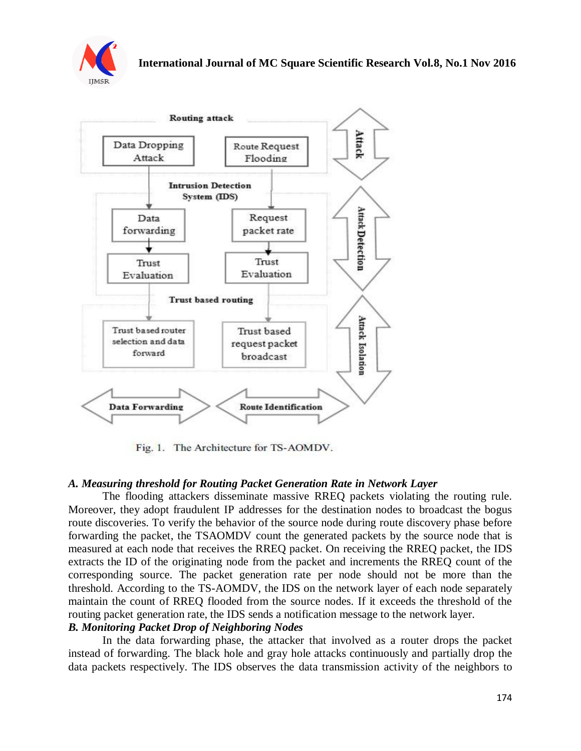



Fig. 1. The Architecture for TS-AOMDV.

#### *A. Measuring threshold for Routing Packet Generation Rate in Network Layer*

The flooding attackers disseminate massive RREQ packets violating the routing rule. Moreover, they adopt fraudulent IP addresses for the destination nodes to broadcast the bogus route discoveries. To verify the behavior of the source node during route discovery phase before forwarding the packet, the TSAOMDV count the generated packets by the source node that is measured at each node that receives the RREQ packet. On receiving the RREQ packet, the IDS extracts the ID of the originating node from the packet and increments the RREQ count of the corresponding source. The packet generation rate per node should not be more than the threshold. According to the TS-AOMDV, the IDS on the network layer of each node separately maintain the count of RREQ flooded from the source nodes. If it exceeds the threshold of the routing packet generation rate, the IDS sends a notification message to the network layer.

#### *B. Monitoring Packet Drop of Neighboring Nodes*

In the data forwarding phase, the attacker that involved as a router drops the packet instead of forwarding. The black hole and gray hole attacks continuously and partially drop the data packets respectively. The IDS observes the data transmission activity of the neighbors to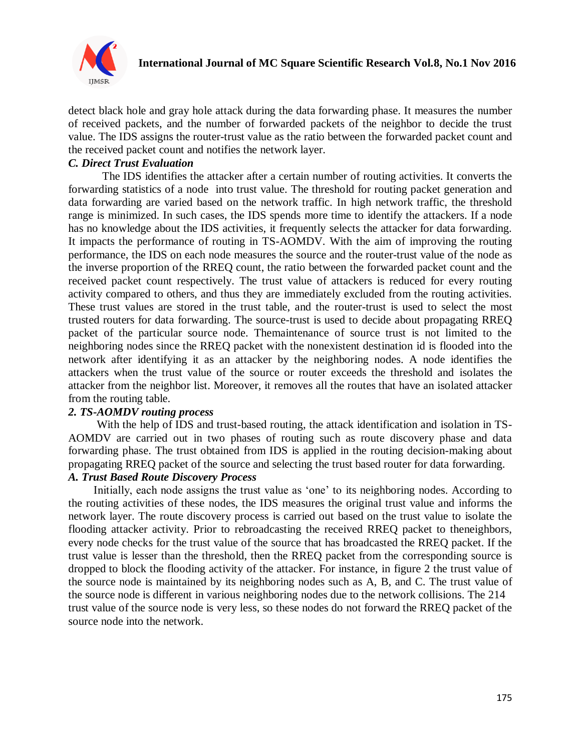

detect black hole and gray hole attack during the data forwarding phase. It measures the number of received packets, and the number of forwarded packets of the neighbor to decide the trust value. The IDS assigns the router-trust value as the ratio between the forwarded packet count and the received packet count and notifies the network layer.

#### *C. Direct Trust Evaluation*

 The IDS identifies the attacker after a certain number of routing activities. It converts the forwarding statistics of a node into trust value. The threshold for routing packet generation and data forwarding are varied based on the network traffic. In high network traffic, the threshold range is minimized. In such cases, the IDS spends more time to identify the attackers. If a node has no knowledge about the IDS activities, it frequently selects the attacker for data forwarding. It impacts the performance of routing in TS-AOMDV. With the aim of improving the routing performance, the IDS on each node measures the source and the router-trust value of the node as the inverse proportion of the RREQ count, the ratio between the forwarded packet count and the received packet count respectively. The trust value of attackers is reduced for every routing activity compared to others, and thus they are immediately excluded from the routing activities. These trust values are stored in the trust table, and the router-trust is used to select the most trusted routers for data forwarding. The source-trust is used to decide about propagating RREQ packet of the particular source node. Themaintenance of source trust is not limited to the neighboring nodes since the RREQ packet with the nonexistent destination id is flooded into the network after identifying it as an attacker by the neighboring nodes. A node identifies the attackers when the trust value of the source or router exceeds the threshold and isolates the attacker from the neighbor list. Moreover, it removes all the routes that have an isolated attacker from the routing table.

#### *2. TS-AOMDV routing process*

 With the help of IDS and trust-based routing, the attack identification and isolation in TS-AOMDV are carried out in two phases of routing such as route discovery phase and data forwarding phase. The trust obtained from IDS is applied in the routing decision-making about propagating RREQ packet of the source and selecting the trust based router for data forwarding.

#### *A. Trust Based Route Discovery Process*

 Initially, each node assigns the trust value as 'one' to its neighboring nodes. According to the routing activities of these nodes, the IDS measures the original trust value and informs the network layer. The route discovery process is carried out based on the trust value to isolate the flooding attacker activity. Prior to rebroadcasting the received RREQ packet to theneighbors, every node checks for the trust value of the source that has broadcasted the RREQ packet. If the trust value is lesser than the threshold, then the RREQ packet from the corresponding source is dropped to block the flooding activity of the attacker. For instance, in figure 2 the trust value of the source node is maintained by its neighboring nodes such as A, B, and C. The trust value of the source node is different in various neighboring nodes due to the network collisions. The 214 trust value of the source node is very less, so these nodes do not forward the RREQ packet of the source node into the network.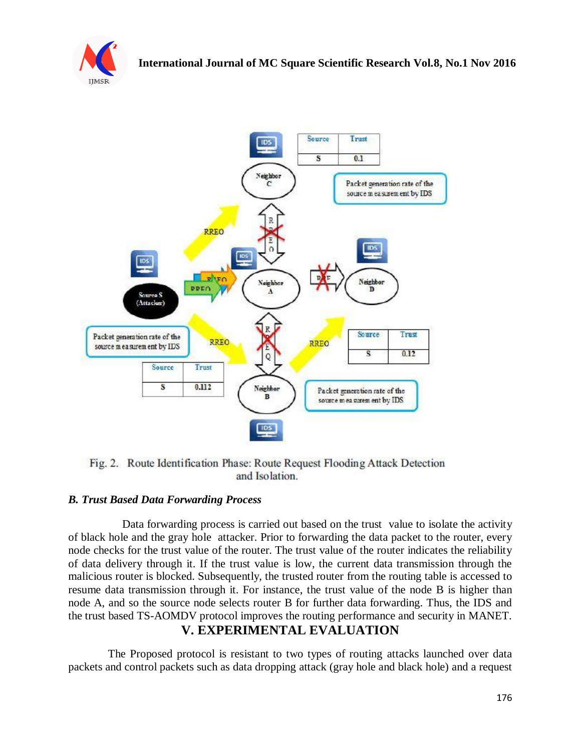



Fig. 2. Route Identification Phase: Route Request Flooding Attack Detection and Isolation.

## *B. Trust Based Data Forwarding Process*

 Data forwarding process is carried out based on the trust value to isolate the activity of black hole and the gray hole attacker. Prior to forwarding the data packet to the router, every node checks for the trust value of the router. The trust value of the router indicates the reliability of data delivery through it. If the trust value is low, the current data transmission through the malicious router is blocked. Subsequently, the trusted router from the routing table is accessed to resume data transmission through it. For instance, the trust value of the node B is higher than node A, and so the source node selects router B for further data forwarding. Thus, the IDS and the trust based TS-AOMDV protocol improves the routing performance and security in MANET. **V. EXPERIMENTAL EVALUATION**

 The Proposed protocol is resistant to two types of routing attacks launched over data packets and control packets such as data dropping attack (gray hole and black hole) and a request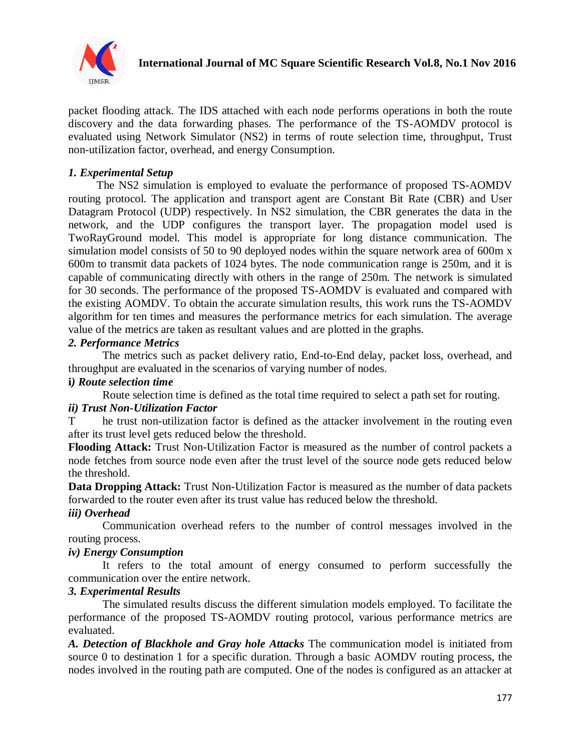

packet flooding attack. The IDS attached with each node performs operations in both the route discovery and the data forwarding phases. The performance of the TS-AOMDV protocol is evaluated using Network Simulator (NS2) in terms of route selection time, throughput, Trust non-utilization factor, overhead, and energy Consumption.

## *1. Experimental Setup*

 The NS2 simulation is employed to evaluate the performance of proposed TS-AOMDV routing protocol. The application and transport agent are Constant Bit Rate (CBR) and User Datagram Protocol (UDP) respectively. In NS2 simulation, the CBR generates the data in the network, and the UDP configures the transport layer. The propagation model used is TwoRayGround model. This model is appropriate for long distance communication. The simulation model consists of 50 to 90 deployed nodes within the square network area of 600m x 600m to transmit data packets of 1024 bytes. The node communication range is 250m, and it is capable of communicating directly with others in the range of 250m. The network is simulated for 30 seconds. The performance of the proposed TS-AOMDV is evaluated and compared with the existing AOMDV. To obtain the accurate simulation results, this work runs the TS-AOMDV algorithm for ten times and measures the performance metrics for each simulation. The average value of the metrics are taken as resultant values and are plotted in the graphs.

#### *2. Performance Metrics*

The metrics such as packet delivery ratio, End-to-End delay, packet loss, overhead, and throughput are evaluated in the scenarios of varying number of nodes.

#### **i***) Route selection time*

Route selection time is defined as the total time required to select a path set for routing.

#### *ii) Trust Non-Utilization Factor*

T he trust non-utilization factor is defined as the attacker involvement in the routing even after its trust level gets reduced below the threshold.

**Flooding Attack:** Trust Non-Utilization Factor is measured as the number of control packets a node fetches from source node even after the trust level of the source node gets reduced below the threshold.

**Data Dropping Attack:** Trust Non-Utilization Factor is measured as the number of data packets forwarded to the router even after its trust value has reduced below the threshold.

#### *iii) Overhead*

Communication overhead refers to the number of control messages involved in the routing process.

#### *iv) Energy Consumption*

It refers to the total amount of energy consumed to perform successfully the communication over the entire network.

#### *3. Experimental Results*

The simulated results discuss the different simulation models employed. To facilitate the performance of the proposed TS-AOMDV routing protocol, various performance metrics are evaluated.

*A. Detection of Blackhole and Gray hole Attacks* The communication model is initiated from source 0 to destination 1 for a specific duration. Through a basic AOMDV routing process, the nodes involved in the routing path are computed. One of the nodes is configured as an attacker at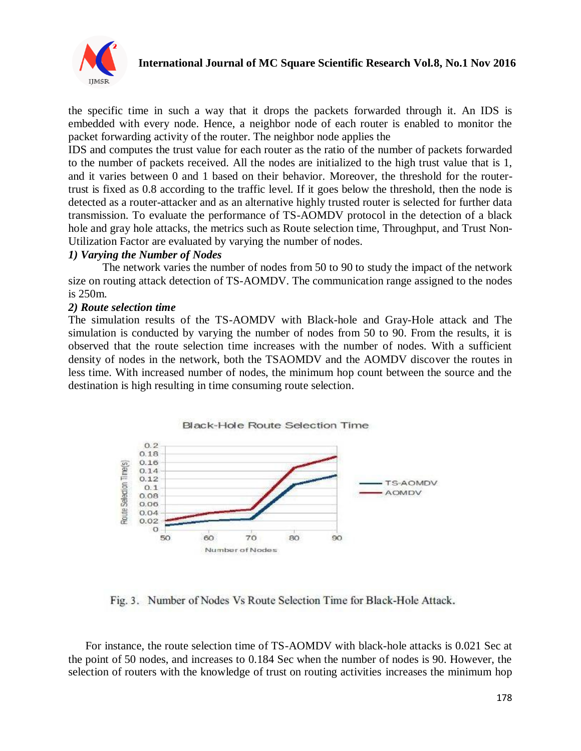

the specific time in such a way that it drops the packets forwarded through it. An IDS is embedded with every node. Hence, a neighbor node of each router is enabled to monitor the packet forwarding activity of the router. The neighbor node applies the

IDS and computes the trust value for each router as the ratio of the number of packets forwarded to the number of packets received. All the nodes are initialized to the high trust value that is 1, and it varies between 0 and 1 based on their behavior. Moreover, the threshold for the routertrust is fixed as 0.8 according to the traffic level. If it goes below the threshold, then the node is detected as a router-attacker and as an alternative highly trusted router is selected for further data transmission. To evaluate the performance of TS-AOMDV protocol in the detection of a black hole and gray hole attacks, the metrics such as Route selection time, Throughput, and Trust Non-Utilization Factor are evaluated by varying the number of nodes.

#### *1) Varying the Number of Nodes*

The network varies the number of nodes from 50 to 90 to study the impact of the network size on routing attack detection of TS-AOMDV. The communication range assigned to the nodes is 250m.

#### *2) Route selection time*

The simulation results of the TS-AOMDV with Black-hole and Gray-Hole attack and The simulation is conducted by varying the number of nodes from 50 to 90. From the results, it is observed that the route selection time increases with the number of nodes. With a sufficient density of nodes in the network, both the TSAOMDV and the AOMDV discover the routes in less time. With increased number of nodes, the minimum hop count between the source and the destination is high resulting in time consuming route selection.



Fig. 3. Number of Nodes Vs Route Selection Time for Black-Hole Attack.

For instance, the route selection time of TS-AOMDV with black-hole attacks is 0.021 Sec at the point of 50 nodes, and increases to 0.184 Sec when the number of nodes is 90. However, the selection of routers with the knowledge of trust on routing activities increases the minimum hop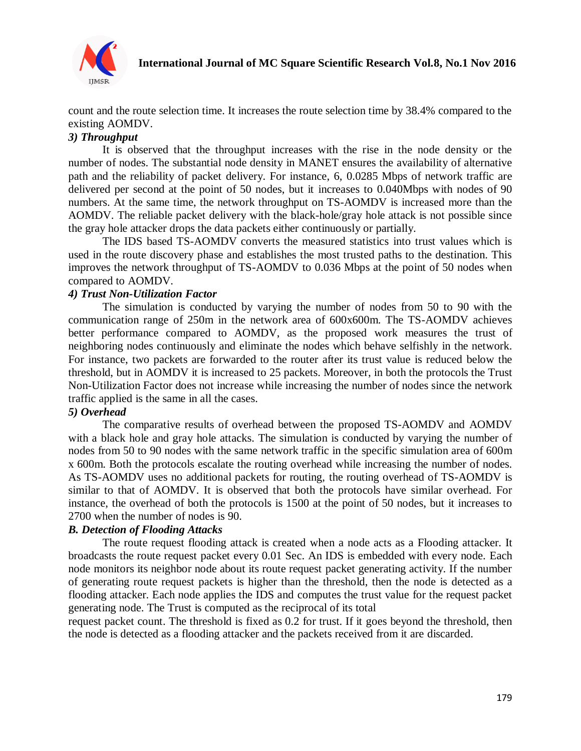

count and the route selection time. It increases the route selection time by 38.4% compared to the existing AOMDV.

### *3) Throughput*

It is observed that the throughput increases with the rise in the node density or the number of nodes. The substantial node density in MANET ensures the availability of alternative path and the reliability of packet delivery. For instance, 6, 0.0285 Mbps of network traffic are delivered per second at the point of 50 nodes, but it increases to 0.040Mbps with nodes of 90 numbers. At the same time, the network throughput on TS-AOMDV is increased more than the AOMDV. The reliable packet delivery with the black-hole/gray hole attack is not possible since the gray hole attacker drops the data packets either continuously or partially.

The IDS based TS-AOMDV converts the measured statistics into trust values which is used in the route discovery phase and establishes the most trusted paths to the destination. This improves the network throughput of TS-AOMDV to 0.036 Mbps at the point of 50 nodes when compared to AOMDV.

#### *4) Trust Non-Utilization Factor*

The simulation is conducted by varying the number of nodes from 50 to 90 with the communication range of 250m in the network area of 600x600m. The TS-AOMDV achieves better performance compared to AOMDV, as the proposed work measures the trust of neighboring nodes continuously and eliminate the nodes which behave selfishly in the network. For instance, two packets are forwarded to the router after its trust value is reduced below the threshold, but in AOMDV it is increased to 25 packets. Moreover, in both the protocols the Trust Non-Utilization Factor does not increase while increasing the number of nodes since the network traffic applied is the same in all the cases.

#### *5) Overhead*

The comparative results of overhead between the proposed TS-AOMDV and AOMDV with a black hole and gray hole attacks. The simulation is conducted by varying the number of nodes from 50 to 90 nodes with the same network traffic in the specific simulation area of 600m x 600m. Both the protocols escalate the routing overhead while increasing the number of nodes. As TS-AOMDV uses no additional packets for routing, the routing overhead of TS-AOMDV is similar to that of AOMDV. It is observed that both the protocols have similar overhead. For instance, the overhead of both the protocols is 1500 at the point of 50 nodes, but it increases to 2700 when the number of nodes is 90.

#### *B. Detection of Flooding Attacks*

The route request flooding attack is created when a node acts as a Flooding attacker. It broadcasts the route request packet every 0.01 Sec. An IDS is embedded with every node. Each node monitors its neighbor node about its route request packet generating activity. If the number of generating route request packets is higher than the threshold, then the node is detected as a flooding attacker. Each node applies the IDS and computes the trust value for the request packet generating node. The Trust is computed as the reciprocal of its total

request packet count. The threshold is fixed as 0.2 for trust. If it goes beyond the threshold, then the node is detected as a flooding attacker and the packets received from it are discarded.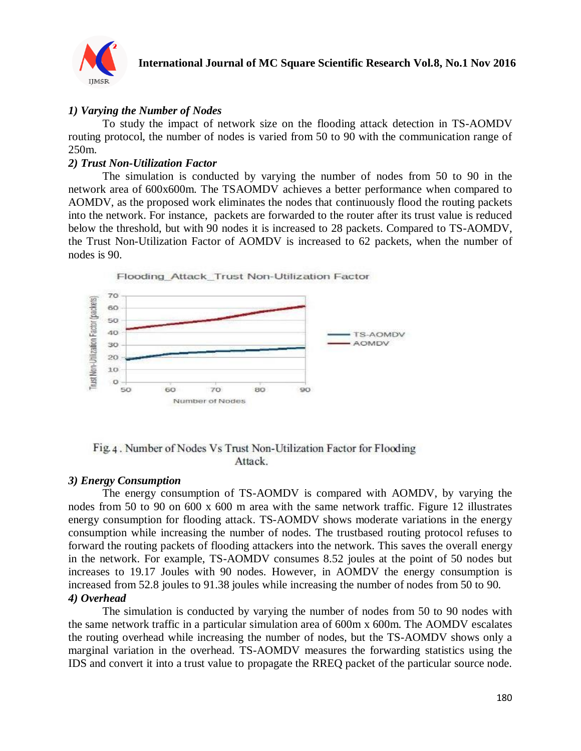

#### *1) Varying the Number of Nodes*

To study the impact of network size on the flooding attack detection in TS-AOMDV routing protocol, the number of nodes is varied from 50 to 90 with the communication range of 250m.

#### *2) Trust Non-Utilization Factor*

The simulation is conducted by varying the number of nodes from 50 to 90 in the network area of 600x600m. The TSAOMDV achieves a better performance when compared to AOMDV, as the proposed work eliminates the nodes that continuously flood the routing packets into the network. For instance, packets are forwarded to the router after its trust value is reduced below the threshold, but with 90 nodes it is increased to 28 packets. Compared to TS-AOMDV, the Trust Non-Utilization Factor of AOMDV is increased to 62 packets, when the number of nodes is 90.



Fig. 4. Number of Nodes Vs Trust Non-Utilization Factor for Flooding Attack.

#### *3) Energy Consumption*

The energy consumption of TS-AOMDV is compared with AOMDV, by varying the nodes from 50 to 90 on 600 x 600 m area with the same network traffic. Figure 12 illustrates energy consumption for flooding attack. TS-AOMDV shows moderate variations in the energy consumption while increasing the number of nodes. The trustbased routing protocol refuses to forward the routing packets of flooding attackers into the network. This saves the overall energy in the network. For example, TS-AOMDV consumes 8.52 joules at the point of 50 nodes but increases to 19.17 Joules with 90 nodes. However, in AOMDV the energy consumption is increased from 52.8 joules to 91.38 joules while increasing the number of nodes from 50 to 90. *4) Overhead*

The simulation is conducted by varying the number of nodes from 50 to 90 nodes with the same network traffic in a particular simulation area of 600m x 600m. The AOMDV escalates the routing overhead while increasing the number of nodes, but the TS-AOMDV shows only a marginal variation in the overhead. TS-AOMDV measures the forwarding statistics using the IDS and convert it into a trust value to propagate the RREQ packet of the particular source node.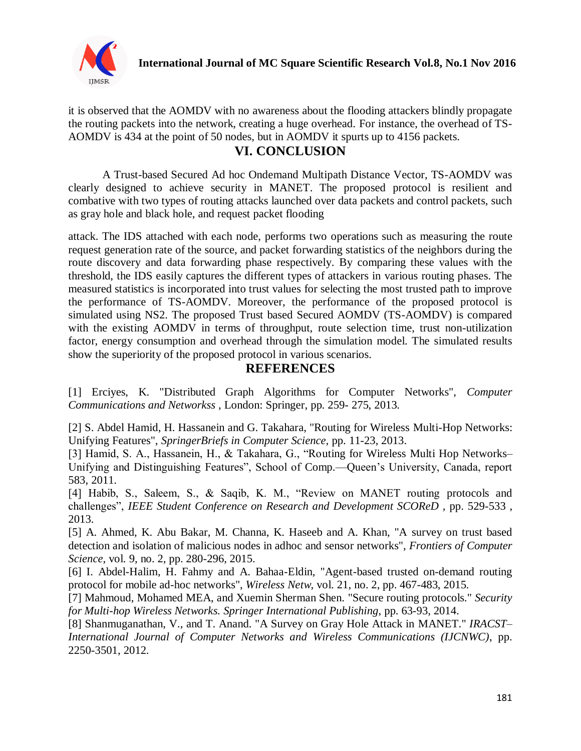

it is observed that the AOMDV with no awareness about the flooding attackers blindly propagate the routing packets into the network, creating a huge overhead. For instance, the overhead of TS-AOMDV is 434 at the point of 50 nodes, but in AOMDV it spurts up to 4156 packets.

# **VI. CONCLUSION**

A Trust-based Secured Ad hoc Ondemand Multipath Distance Vector, TS-AOMDV was clearly designed to achieve security in MANET. The proposed protocol is resilient and combative with two types of routing attacks launched over data packets and control packets, such as gray hole and black hole, and request packet flooding

attack. The IDS attached with each node, performs two operations such as measuring the route request generation rate of the source, and packet forwarding statistics of the neighbors during the route discovery and data forwarding phase respectively. By comparing these values with the threshold, the IDS easily captures the different types of attackers in various routing phases. The measured statistics is incorporated into trust values for selecting the most trusted path to improve the performance of TS-AOMDV. Moreover, the performance of the proposed protocol is simulated using NS2. The proposed Trust based Secured AOMDV (TS-AOMDV) is compared with the existing AOMDV in terms of throughput, route selection time, trust non-utilization factor, energy consumption and overhead through the simulation model. The simulated results show the superiority of the proposed protocol in various scenarios.

## **REFERENCES**

[1] Erciyes, K. "Distributed Graph Algorithms for Computer Networks", *Computer Communications and Networkss* , London: Springer, pp. 259- 275, 2013.

[2] S. Abdel Hamid, H. Hassanein and G. Takahara, "Routing for Wireless Multi-Hop Networks: Unifying Features", *SpringerBriefs in Computer Science,* pp. 11-23, 2013.

[3] Hamid, S. A., Hassanein, H., & Takahara, G., "Routing for Wireless Multi Hop Networks– Unifying and Distinguishing Features", School of Comp.—Queen's University, Canada, report 583, 2011.

[4] Habib, S., Saleem, S., & Saqib, K. M., "Review on MANET routing protocols and challenges", *IEEE Student Conference on Research and Development SCOReD ,* pp. 529-533 , 2013.

[5] A. Ahmed, K. Abu Bakar, M. Channa, K. Haseeb and A. Khan, "A survey on trust based detection and isolation of malicious nodes in adhoc and sensor networks", *Frontiers of Computer Science*, vol. 9, no. 2, pp. 280-296, 2015.

[6] I. Abdel-Halim, H. Fahmy and A. Bahaa-Eldin, "Agent-based trusted on-demand routing protocol for mobile ad-hoc networks", *Wireless Netw*, vol. 21, no. 2, pp. 467-483, 2015.

[7] Mahmoud, Mohamed MEA, and Xuemin Sherman Shen. "Secure routing protocols." *Security for Multi-hop Wireless Networks. Springer International Publishing*, pp. 63-93, 2014.

[8] Shanmuganathan, V., and T. Anand. "A Survey on Gray Hole Attack in MANET." *IRACST– International Journal of Computer Networks and Wireless Communications (IJCNWC)*, pp. 2250-3501, 2012.